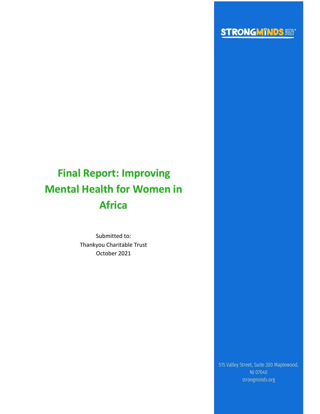

# **Final Report: Improving Mental Health for Women in Africa**

Submitted to: Thankyou Charitable Trust October 2021

> 515 Valley Street, Suite 200 Maplewood, NJ 07040 strongminds.org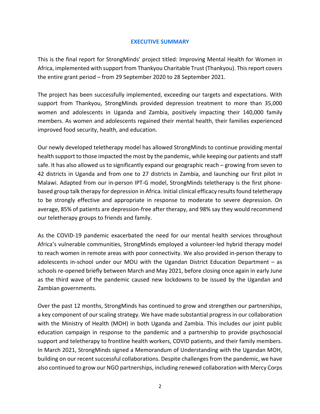# **EXECUTIVE SUMMARY**

This is the final report for StrongMinds' project titled: Improving Mental Health for Women in Africa, implemented with support from Thankyou Charitable Trust (Thankyou). This report covers the entire grant period – from 29 September 2020 to 28 September 2021.

The project has been successfully implemented, exceeding our targets and expectations. With support from Thankyou, StrongMinds provided depression treatment to more than 35,000 women and adolescents in Uganda and Zambia, positively impacting their 140,000 family members. As women and adolescents regained their mental health, their families experienced improved food security, health, and education.

Our newly developed teletherapy model has allowed StrongMinds to continue providing mental health support to those impacted the most by the pandemic, while keeping our patients and staff safe. It has also allowed us to significantly expand our geographic reach – growing from seven to 42 districts in Uganda and from one to 27 districts in Zambia, and launching our first pilot in Malawi. Adapted from our in-person IPT-G model, StrongMinds teletherapy is the first phonebased group talk therapy for depression in Africa. Initial clinical efficacy results found teletherapy to be strongly effective and appropriate in response to moderate to severe depression. On average, 85% of patients are depression-free after therapy, and 98% say they would recommend our teletherapy groups to friends and family.

As the COVID-19 pandemic exacerbated the need for our mental health services throughout Africa's vulnerable communities, StrongMinds employed a volunteer-led hybrid therapy model to reach women in remote areas with poor connectivity. We also provided in-person therapy to adolescents in-school under our MOU with the Ugandan District Education Department – as schools re-opened briefly between March and May 2021, before closing once again in early June as the third wave of the pandemic caused new lockdowns to be issued by the Ugandan and Zambian governments.

Over the past 12 months, StrongMinds has continued to grow and strengthen our partnerships, a key component of our scaling strategy. We have made substantial progress in our collaboration with the Ministry of Health (MOH) in both Uganda and Zambia. This includes our joint public education campaign in response to the pandemic and a partnership to provide psychosocial support and teletherapy to frontline health workers, COVID patients, and their family members. In March 2021, StrongMinds signed a Memorandum of Understanding with the Ugandan MOH, building on our recent successful collaborations. Despite challenges from the pandemic, we have also continued to grow our NGO partnerships, including renewed collaboration with Mercy Corps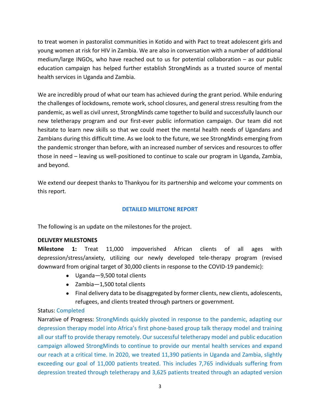to treat women in pastoralist communities in Kotido and with Pact to treat adolescent girls and young women at risk for HIV in Zambia. We are also in conversation with a number of additional medium/large INGOs, who have reached out to us for potential collaboration – as our public education campaign has helped further establish StrongMinds as a trusted source of mental health services in Uganda and Zambia.

We are incredibly proud of what our team has achieved during the grant period. While enduring the challenges of lockdowns, remote work, school closures, and general stress resulting from the pandemic, as well as civil unrest, StrongMinds came together to build and successfully launch our new teletherapy program and our first-ever public information campaign. Our team did not hesitate to learn new skills so that we could meet the mental health needs of Ugandans and Zambians during this difficult time. As we look to the future, we see StrongMinds emerging from the pandemic stronger than before, with an increased number of services and resources to offer those in need – leaving us well-positioned to continue to scale our program in Uganda, Zambia, and beyond.

We extend our deepest thanks to Thankyou for its partnership and welcome your comments on this report.

# **DETAILED MILETONE REPORT**

The following is an update on the milestones for the project.

# **DELIVERY MILESTONES**

**Milestone 1:** Treat 11,000 impoverished African clients of all ages with depression/stress/anxiety, utilizing our newly developed tele-therapy program (revised downward from original target of 30,000 clients in response to the COVID-19 pandemic):

- Uganda—9,500 total clients
- Zambia—1,500 total clients
- Final delivery data to be disaggregated by former clients, new clients, adolescents, refugees, and clients treated through partners or government.

# Status: Completed

Narrative of Progress: StrongMinds quickly pivoted in response to the pandemic, adapting our depression therapy model into Africa's first phone-based group talk therapy model and training all our staff to provide therapy remotely. Our successful teletherapy model and public education campaign allowed StrongMinds to continue to provide our mental health services and expand our reach at a critical time. In 2020, we treated 11,390 patients in Uganda and Zambia, slightly exceeding our goal of 11,000 patients treated. This includes 7,765 individuals suffering from depression treated through teletherapy and 3,625 patients treated through an adapted version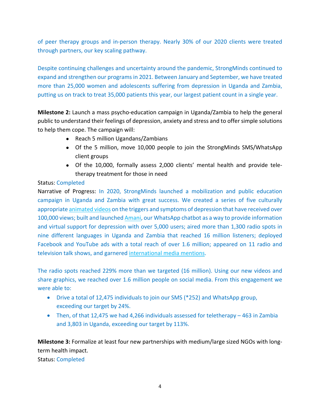of peer therapy groups and in-person therapy. Nearly 30% of our 2020 clients were treated through partners, our key scaling pathway.

Despite continuing challenges and uncertainty around the pandemic, StrongMinds continued to expand and strengthen our programs in 2021. Between January and September, we have treated more than 25,000 women and adolescents suffering from depression in Uganda and Zambia, putting us on track to treat 35,000 patients this year, our largest patient count in a single year.

**Milestone 2:** Launch a mass psycho-education campaign in Uganda/Zambia to help the general public to understand their feelings of depression, anxiety and stress and to offer simple solutions to help them cope. The campaign will:

- Reach 5 million Ugandans/Zambians
- Of the 5 million, move 10,000 people to join the StrongMinds SMS/WhatsApp client groups
- Of the 10,000, formally assess 2,000 clients' mental health and provide teletherapy treatment for those in need

# Status: Completed

Narrative of Progress: In 2020, StrongMinds launched a mobilization and public education campaign in Uganda and Zambia with great success. We created a series of five culturally appropriate animated videos on the triggers and symptoms of depression that have received over 100,000 views; built and launched Amani, our WhatsApp chatbot as a way to provide information and virtual support for depression with over 5,000 users; aired more than 1,300 radio spots in nine different languages in Uganda and Zambia that reached 16 million listeners; deployed Facebook and YouTube ads with a total reach of over 1.6 million; appeared on 11 radio and television talk shows, and garnered international media mentions.

The radio spots reached 229% more than we targeted (16 million). Using our new videos and share graphics, we reached over 1.6 million people on social media. From this engagement we were able to:

- Drive a total of 12,475 individuals to join our SMS (\*252) and WhatsApp group, exceeding our target by 24%.
- Then, of that 12,475 we had 4,266 individuals assessed for teletherapy 463 in Zambia and 3,803 in Uganda, exceeding our target by 113%.

**Milestone 3:** Formalize at least four new partnerships with medium/large sized NGOs with longterm health impact.

Status: Completed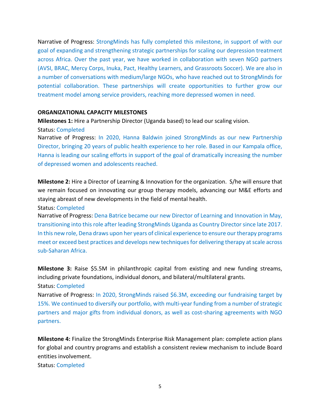Narrative of Progress: StrongMinds has fully completed this milestone, in support of with our goal of expanding and strengthening strategic partnerships for scaling our depression treatment across Africa. Over the past year, we have worked in collaboration with seven NGO partners (AVSI, BRAC, Mercy Corps, Inuka, Pact, Healthy Learners, and Grassroots Soccer). We are also in a number of conversations with medium/large NGOs, who have reached out to StrongMinds for potential collaboration. These partnerships will create opportunities to further grow our treatment model among service providers, reaching more depressed women in need.

#### **ORGANIZATIONAL CAPACITY MILESTONES**

**Milestones 1:** Hire a Partnership Director (Uganda based) to lead our scaling vision.

#### Status: Completed

Narrative of Progress: In 2020, Hanna Baldwin joined StrongMinds as our new Partnership Director, bringing 20 years of public health experience to her role. Based in our Kampala office, Hanna is leading our scaling efforts in support of the goal of dramatically increasing the number of depressed women and adolescents reached.

**Milestone 2:** Hire a Director of Learning & Innovation for the organization. S/he will ensure that we remain focused on innovating our group therapy models, advancing our M&E efforts and staying abreast of new developments in the field of mental health.

Status: Completed

Narrative of Progress: Dena Batrice became our new Director of Learning and Innovation in May, transitioning into this role after leading StrongMinds Uganda as Country Director since late 2017. In this new role, Dena draws upon her years of clinical experience to ensure our therapy programs meet or exceed best practices and develops new techniques for delivering therapy at scale across sub-Saharan Africa.

**Milestone 3:** Raise \$5.5M in philanthropic capital from existing and new funding streams, including private foundations, individual donors, and bilateral/multilateral grants. Status: Completed

Narrative of Progress: In 2020, StrongMinds raised \$6.3M, exceeding our fundraising target by 15%. We continued to diversify our portfolio, with multi-year funding from a number of strategic partners and major gifts from individual donors, as well as cost-sharing agreements with NGO partners.

**Milestone 4:** Finalize the StrongMinds Enterprise Risk Management plan: complete action plans for global and country programs and establish a consistent review mechanism to include Board entities involvement.

Status: Completed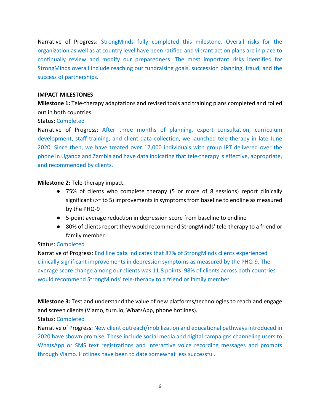Narrative of Progress: StrongMinds fully completed this milestone. Overall risks for the organization as well as at country level have been ratified and vibrant action plans are in place to continually review and modify our preparedness. The most important risks identified for StrongMinds overall include reaching our fundraising goals, succession planning, fraud, and the success of partnerships.

#### **IMPACT MILESTONES**

**Milestone 1:** Tele-therapy adaptations and revised tools and training plans completed and rolled out in both countries.

## Status: Completed

Narrative of Progress: After three months of planning, expert consultation, curriculum development, staff training, and client data collection, we launched tele-therapy in late June 2020. Since then, we have treated over 17,000 individuals with group IPT delivered over the phone in Uganda and Zambia and have data indicating that tele-therapy is effective, appropriate, and recommended by clients.

## **Milestone 2:** Tele-therapy impact:

- 75% of clients who complete therapy (5 or more of 8 sessions) report clinically significant (>= to 5) improvements in symptoms from baseline to endline as measured by the PHQ-9
- 5-point average reduction in depression score from baseline to endline
- 80% of clients report they would recommend StrongMinds' tele-therapy to a friend or family member

## Status: Completed

Narrative of Progress: End line data indicates that 87% of StrongMinds clients experienced clinically significant improvements in depression symptoms as measured by the PHQ-9. The average score change among our clients was 11.8 points. 98% of clients across both countries would recommend StrongMinds' tele-therapy to a friend or family member.

**Milestone 3:** Test and understand the value of new platforms/technologies to reach and engage and screen clients (Viamo, turn.io, WhatsApp, phone hotlines).

## Status: Completed

Narrative of Progress: New client outreach/mobilization and educational pathways introduced in 2020 have shown promise. These include social media and digital campaigns channeling users to WhatsApp or SMS text registrations and interactive voice recording messages and prompts through Viamo. Hotlines have been to date somewhat less successful.